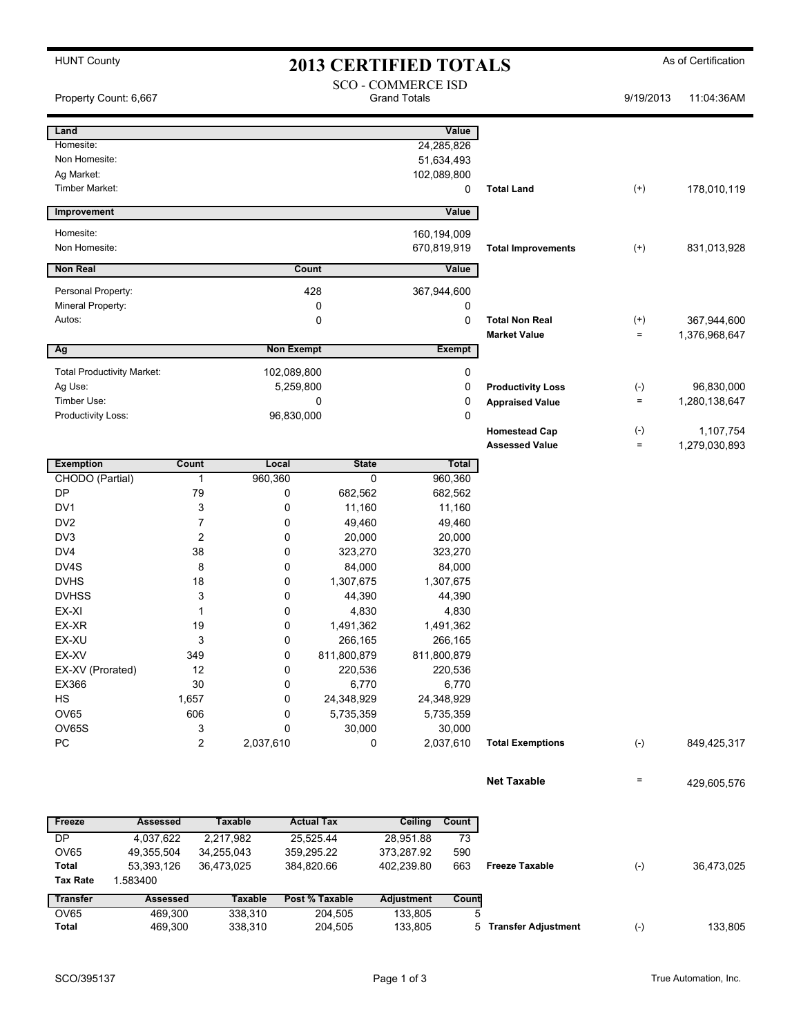| <b>HUNT County</b>                    |              | <b>2013 CERTIFIED TOTALS</b> |                         |                                                  |                                               | As of Certification |                            |  |
|---------------------------------------|--------------|------------------------------|-------------------------|--------------------------------------------------|-----------------------------------------------|---------------------|----------------------------|--|
| Property Count: 6,667                 |              |                              |                         | <b>SCO - COMMERCE ISD</b><br><b>Grand Totals</b> |                                               | 9/19/2013           | 11:04:36AM                 |  |
| Land                                  |              |                              |                         | Value                                            |                                               |                     |                            |  |
| Homesite:                             |              |                              |                         | 24,285,826                                       |                                               |                     |                            |  |
| Non Homesite:                         |              |                              |                         | 51,634,493                                       |                                               |                     |                            |  |
| Ag Market:                            |              |                              |                         | 102,089,800                                      |                                               |                     |                            |  |
| Timber Market:                        |              |                              |                         | 0                                                | <b>Total Land</b>                             | $^{(+)}$            | 178,010,119                |  |
| Improvement                           |              |                              |                         | Value                                            |                                               |                     |                            |  |
| Homesite:                             |              |                              |                         | 160,194,009                                      |                                               |                     |                            |  |
| Non Homesite:                         |              |                              |                         | 670,819,919                                      | <b>Total Improvements</b>                     | $^{(+)}$            | 831,013,928                |  |
| <b>Non Real</b>                       |              |                              | Count                   | Value                                            |                                               |                     |                            |  |
| Personal Property:                    |              |                              | 428                     | 367,944,600                                      |                                               |                     |                            |  |
| Mineral Property:                     |              |                              | 0                       | 0                                                |                                               |                     |                            |  |
| Autos:                                |              |                              | $\mathbf 0$             | 0                                                | <b>Total Non Real</b>                         | $^{(+)}$            | 367,944,600                |  |
|                                       |              |                              |                         |                                                  | <b>Market Value</b>                           | $=$                 | 1,376,968,647              |  |
| Ag                                    |              | <b>Non Exempt</b>            |                         | <b>Exempt</b>                                    |                                               |                     |                            |  |
| <b>Total Productivity Market:</b>     |              | 102,089,800                  |                         | 0                                                |                                               |                     |                            |  |
| Ag Use:                               |              | 5,259,800                    |                         | 0                                                | <b>Productivity Loss</b>                      | $(-)$               | 96,830,000                 |  |
| Timber Use:                           |              |                              | 0                       | 0                                                | <b>Appraised Value</b>                        | $=$                 | 1,280,138,647              |  |
| Productivity Loss:                    |              | 96,830,000                   |                         | 0                                                |                                               |                     |                            |  |
|                                       |              |                              |                         |                                                  | <b>Homestead Cap</b><br><b>Assessed Value</b> | $(\text{-})$<br>$=$ | 1,107,754<br>1,279,030,893 |  |
|                                       | Count        | Local                        | <b>State</b>            |                                                  |                                               |                     |                            |  |
| <b>Exemption</b><br>CHODO (Partial)   | $\mathbf{1}$ | 960,360                      | $\Omega$                | Total<br>960,360                                 |                                               |                     |                            |  |
| DP                                    | 79           | 0                            | 682,562                 | 682,562                                          |                                               |                     |                            |  |
| DV <sub>1</sub>                       | 3            | 0                            | 11,160                  | 11,160                                           |                                               |                     |                            |  |
| DV <sub>2</sub>                       | 7            | 0                            | 49,460                  | 49,460                                           |                                               |                     |                            |  |
| DV3                                   | 2            | 0                            | 20,000                  | 20,000                                           |                                               |                     |                            |  |
| DV4                                   | 38           | 0                            | 323,270                 | 323,270                                          |                                               |                     |                            |  |
| DV4S                                  | 8            | 0                            | 84,000                  | 84,000                                           |                                               |                     |                            |  |
| <b>DVHS</b>                           | 18           | 0                            | 1,307,675               | 1,307,675                                        |                                               |                     |                            |  |
| <b>DVHSS</b>                          | 3            | 0                            | 44,390                  | 44,390                                           |                                               |                     |                            |  |
| EX-XI                                 |              | 0                            | 4,830                   | 4,830                                            |                                               |                     |                            |  |
| EX-XR                                 | 19           | 0                            | 1,491,362               | 1,491,362                                        |                                               |                     |                            |  |
| EX-XU                                 | 3            | 0                            | 266,165                 | 266,165                                          |                                               |                     |                            |  |
| EX-XV                                 | 349          | 0                            | 811,800,879             | 811,800,879                                      |                                               |                     |                            |  |
| EX-XV (Prorated)                      | 12           | 0                            | 220,536                 | 220,536                                          |                                               |                     |                            |  |
| EX366                                 | 30           | 0                            | 6,770                   | 6,770                                            |                                               |                     |                            |  |
| HS                                    | 1,657        | 0                            | 24,348,929              | 24,348,929                                       |                                               |                     |                            |  |
| OV65<br>OV65S                         | 606<br>3     | 0<br>0                       | 5,735,359<br>30,000     | 5,735,359<br>30,000                              |                                               |                     |                            |  |
| PC                                    | 2            | 2,037,610                    | 0                       | 2,037,610                                        | <b>Total Exemptions</b>                       | $(\text{-})$        | 849,425,317                |  |
|                                       |              |                              |                         |                                                  | <b>Net Taxable</b>                            | $\equiv$            | 429,605,576                |  |
|                                       |              |                              |                         |                                                  |                                               |                     |                            |  |
| Freeze<br><b>Assessed</b>             |              | <b>Taxable</b>               | <b>Actual Tax</b>       | Ceiling<br>Count                                 |                                               |                     |                            |  |
| DP<br>4,037,622<br>OV65<br>49,355,504 |              | 2,217,982<br>34,255,043      | 25,525.44<br>359,295.22 | 73<br>28,951.88<br>590<br>373,287.92             |                                               |                     |                            |  |

| <b>Tax Rate</b> | .583400  |         |                |                   |       |                            |         |
|-----------------|----------|---------|----------------|-------------------|-------|----------------------------|---------|
| <b>Transfer</b> | Assessed | Taxable | Post % Taxable | <b>Adiustment</b> | Count |                            |         |
| OV65            | 469.300  | 338.310 | 204.505        | 133.805           |       |                            |         |
| <b>Total</b>    | 469.300  | 338.310 | 204.505        | 133.805           |       | <b>Transfer Adjustment</b> | 133.805 |

**Total** 53,393,126 36,473,025 402,239.80 384,820.66 663 **Freeze Taxable** (-) 36,473,025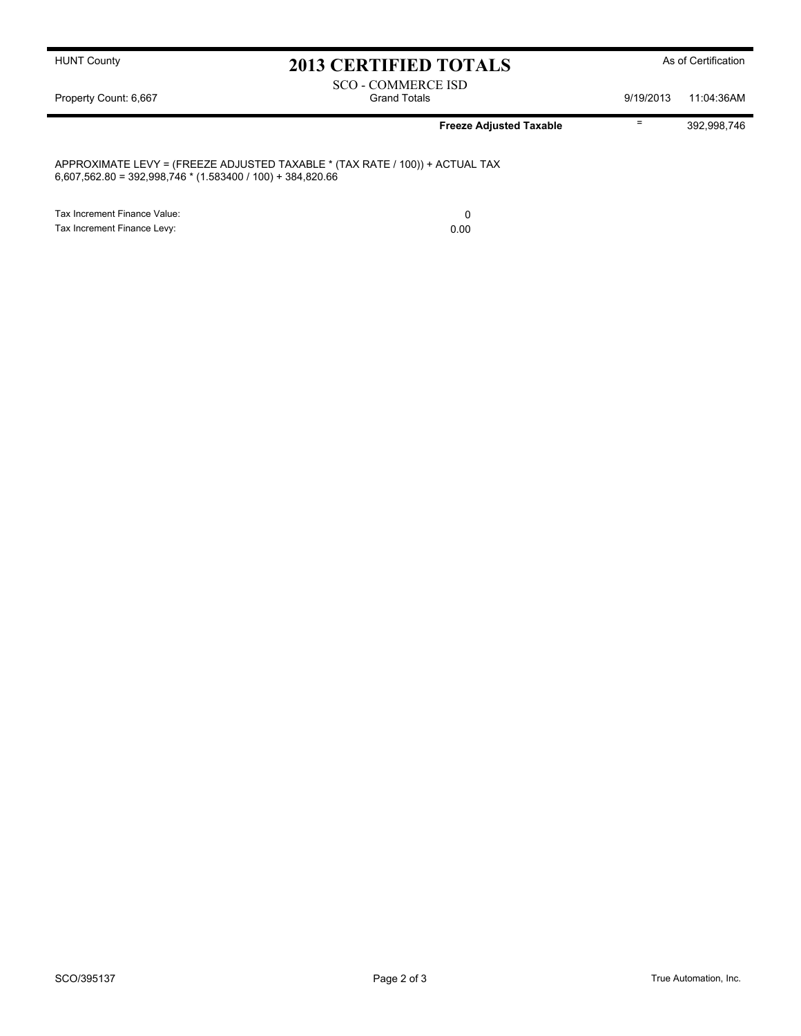## HUNT County **As of Certification 2013 CERTIFIED TOTALS** As of Certification

SCO - COMMERCE ISD Property Count: 6,667 **Grand Totals** Grand Totals 9/19/2013 11:04:36AM

**Freeze Adjusted Taxable Freeze Adjusted Taxable Freeze Adjusted Taxable** 

#### APPROXIMATE LEVY = (FREEZE ADJUSTED TAXABLE \* (TAX RATE / 100)) + ACTUAL TAX 6,607,562.80 = 392,998,746 \* (1.583400 / 100) + 384,820.66

Tax Increment Finance Value: 0 Tax Increment Finance Levy: 0.00